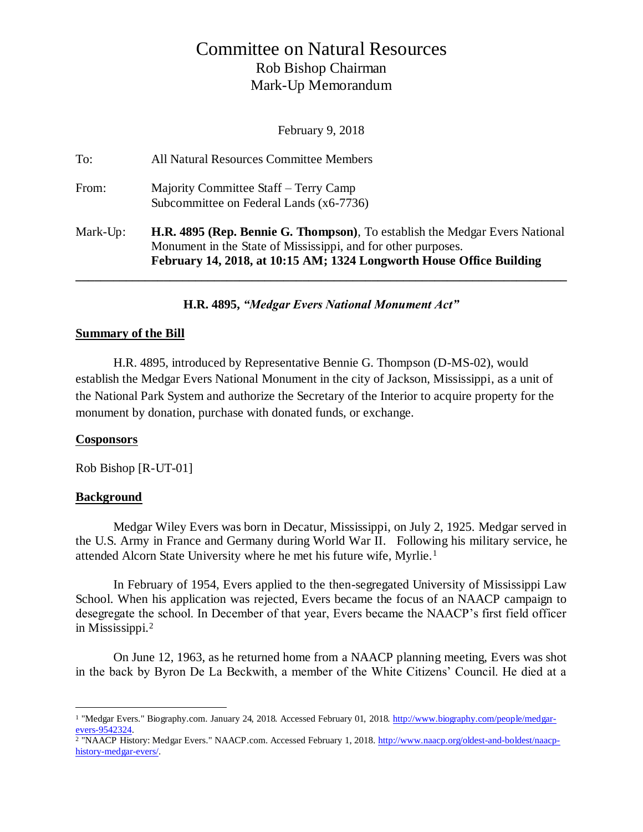# Committee on Natural Resources Rob Bishop Chairman Mark-Up Memorandum

February 9, 2018

| To:      | All Natural Resources Committee Members                                                                                                                                                                                      |
|----------|------------------------------------------------------------------------------------------------------------------------------------------------------------------------------------------------------------------------------|
| From:    | Majority Committee Staff – Terry Camp<br>Subcommittee on Federal Lands (x6-7736)                                                                                                                                             |
| Mark-Up: | <b>H.R. 4895 (Rep. Bennie G. Thompson)</b> , To establish the Medgar Evers National<br>Monument in the State of Mississippi, and for other purposes.<br>February 14, 2018, at 10:15 AM; 1324 Longworth House Office Building |

**H.R. 4895,** *"Medgar Evers National Monument Act"*

### **Summary of the Bill**

H.R. 4895, introduced by Representative Bennie G. Thompson (D-MS-02), would establish the Medgar Evers National Monument in the city of Jackson, Mississippi, as a unit of the National Park System and authorize the Secretary of the Interior to acquire property for the monument by donation, purchase with donated funds, or exchange.

### **Cosponsors**

Rob Bishop [R-UT-01]

# **Background**

 $\overline{a}$ 

Medgar Wiley Evers was born in Decatur, Mississippi, on July 2, 1925. Medgar served in the U.S. Army in France and Germany during World War II. Following his military service, he attended Alcorn State University where he met his future wife, Myrlie.<sup>1</sup>

In February of 1954, Evers applied to the then-segregated University of Mississippi Law School. When his application was rejected, Evers became the focus of an NAACP campaign to desegregate the school. In December of that year, Evers became the NAACP's first field officer in Mississippi.<sup>2</sup>

On June 12, 1963, as he returned home from a NAACP planning meeting, Evers was shot in the back by Byron De La Beckwith, a member of the White Citizens' Council. He died at a

<sup>1</sup> "Medgar Evers." Biography.com. January 24, 2018. Accessed February 01, 2018[. http://www.biography.com/people/medgar](http://www.biography.com/people/medgar-evers-9542324)[evers-9542324.](http://www.biography.com/people/medgar-evers-9542324)

<sup>&</sup>lt;sup>2</sup> "NAACP History: Medgar Evers." NAACP.com. Accessed February 1, 2018[. http://www.naacp.org/oldest-and-boldest/naacp](http://www.naacp.org/oldest-and-boldest/naacp-history-medgar-evers/)[history-medgar-evers/.](http://www.naacp.org/oldest-and-boldest/naacp-history-medgar-evers/)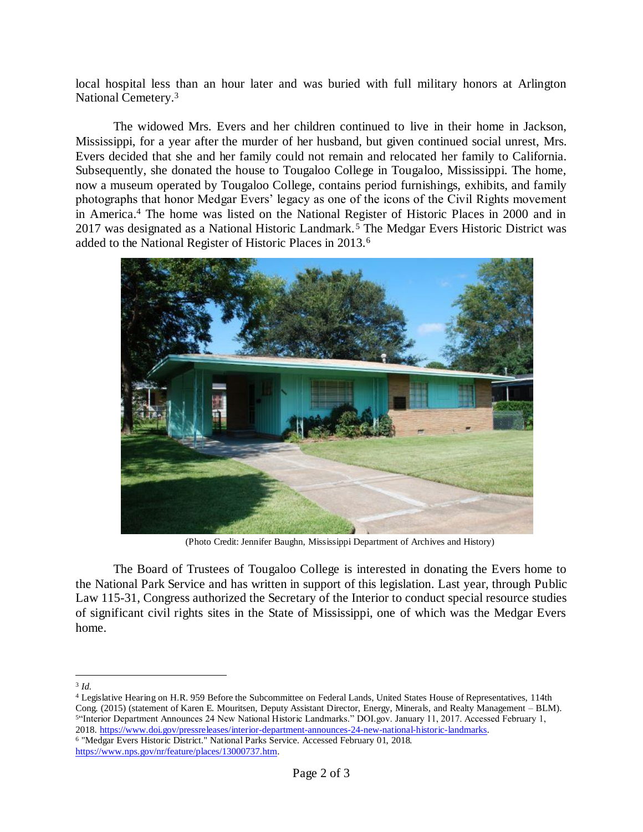local hospital less than an hour later and was buried with full military honors at Arlington National Cemetery.<sup>3</sup>

The widowed Mrs. Evers and her children continued to live in their home in Jackson, Mississippi, for a year after the murder of her husband, but given continued social unrest, Mrs. Evers decided that she and her family could not remain and relocated her family to California. Subsequently, she donated the house to Tougaloo College in Tougaloo, Mississippi. The home, now a museum operated by Tougaloo College, contains period furnishings, exhibits, and family photographs that honor Medgar Evers' legacy as one of the icons of the Civil Rights movement in America. <sup>4</sup> The home was listed on the National Register of Historic Places in 2000 and in 2017 was designated as a National Historic Landmark. <sup>5</sup> The Medgar Evers Historic District was added to the National Register of Historic Places in 2013.<sup>6</sup>



(Photo Credit: Jennifer Baughn, Mississippi Department of Archives and History)

The Board of Trustees of Tougaloo College is interested in donating the Evers home to the National Park Service and has written in support of this legislation. Last year, through Public Law 115-31, Congress authorized the Secretary of the Interior to conduct special resource studies of significant civil rights sites in the State of Mississippi, one of which was the Medgar Evers home.

 Legislative Hearing on H.R. 959 Before the Subcommittee on Federal Lands, United States House of Representatives, 114th Cong. (2015) (statement of Karen E. Mouritsen, Deputy Assistant Director, Energy, Minerals, and Realty Management – BLM). "Interior Department Announces 24 New National Historic Landmarks." DOI.gov. January 11, 2017. Accessed February 1, [. https://www.doi.gov/pressreleases/interior-department-announces-24-new-national-historic-landmarks.](https://www.doi.gov/pressreleases/interior-department-announces-24-new-national-historic-landmarks)

<sup>6</sup> "Medgar Evers Historic District." National Parks Service. Accessed February 01, 2018. [https://www.nps.gov/nr/feature/places/13000737.htm.](https://www.nps.gov/nr/feature/places/13000737.htm)

 $\overline{a}$ 3 *Id.*